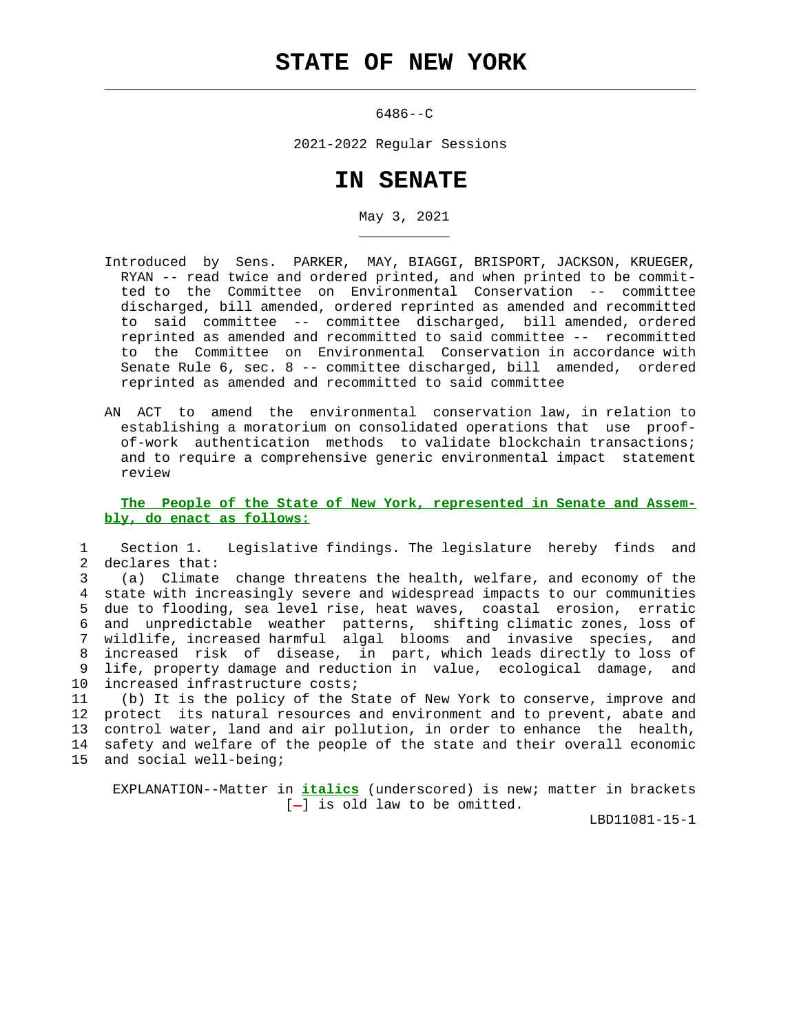$\mathcal{L}_\text{max} = \frac{1}{2} \sum_{i=1}^{n} \frac{1}{2} \sum_{i=1}^{n} \frac{1}{2} \sum_{i=1}^{n} \frac{1}{2} \sum_{i=1}^{n} \frac{1}{2} \sum_{i=1}^{n} \frac{1}{2} \sum_{i=1}^{n} \frac{1}{2} \sum_{i=1}^{n} \frac{1}{2} \sum_{i=1}^{n} \frac{1}{2} \sum_{i=1}^{n} \frac{1}{2} \sum_{i=1}^{n} \frac{1}{2} \sum_{i=1}^{n} \frac{1}{2} \sum_{i=1}^{n} \frac{1$ 

\_\_\_\_\_\_\_\_\_\_\_

6486--C

2021-2022 Regular Sessions

## **IN SENATE**

May 3, 2021

- Introduced by Sens. PARKER, MAY, BIAGGI, BRISPORT, JACKSON, KRUEGER, RYAN -- read twice and ordered printed, and when printed to be commit ted to the Committee on Environmental Conservation -- committee discharged, bill amended, ordered reprinted as amended and recommitted to said committee -- committee discharged, bill amended, ordered reprinted as amended and recommitted to said committee -- recommitted to the Committee on Environmental Conservation in accordance with Senate Rule 6, sec. 8 -- committee discharged, bill amended, ordered reprinted as amended and recommitted to said committee
- AN ACT to amend the environmental conservation law, in relation to establishing a moratorium on consolidated operations that use proof of-work authentication methods to validate blockchain transactions; and to require a comprehensive generic environmental impact statement review

 **The People of the State of New York, represented in Senate and Assem bly, do enact as follows:**

 1 Section 1. Legislative findings. The legislature hereby finds and 2 declares that:

 3 (a) Climate change threatens the health, welfare, and economy of the 4 state with increasingly severe and widespread impacts to our communities 5 due to flooding, sea level rise, heat waves, coastal erosion, erratic 6 and unpredictable weather patterns, shifting climatic zones, loss of 7 wildlife, increased harmful algal blooms and invasive species, and 8 increased risk of disease, in part, which leads directly to loss of 9 life, property damage and reduction in value, ecological damage, and 10 increased infrastructure costs;

 11 (b) It is the policy of the State of New York to conserve, improve and 12 protect its natural resources and environment and to prevent, abate and 13 control water, land and air pollution, in order to enhance the health, 14 safety and welfare of the people of the state and their overall economic 15 and social well-being;

 EXPLANATION--Matter in **italics** (underscored) is new; matter in brackets  $[-]$  is old law to be omitted.

LBD11081-15-1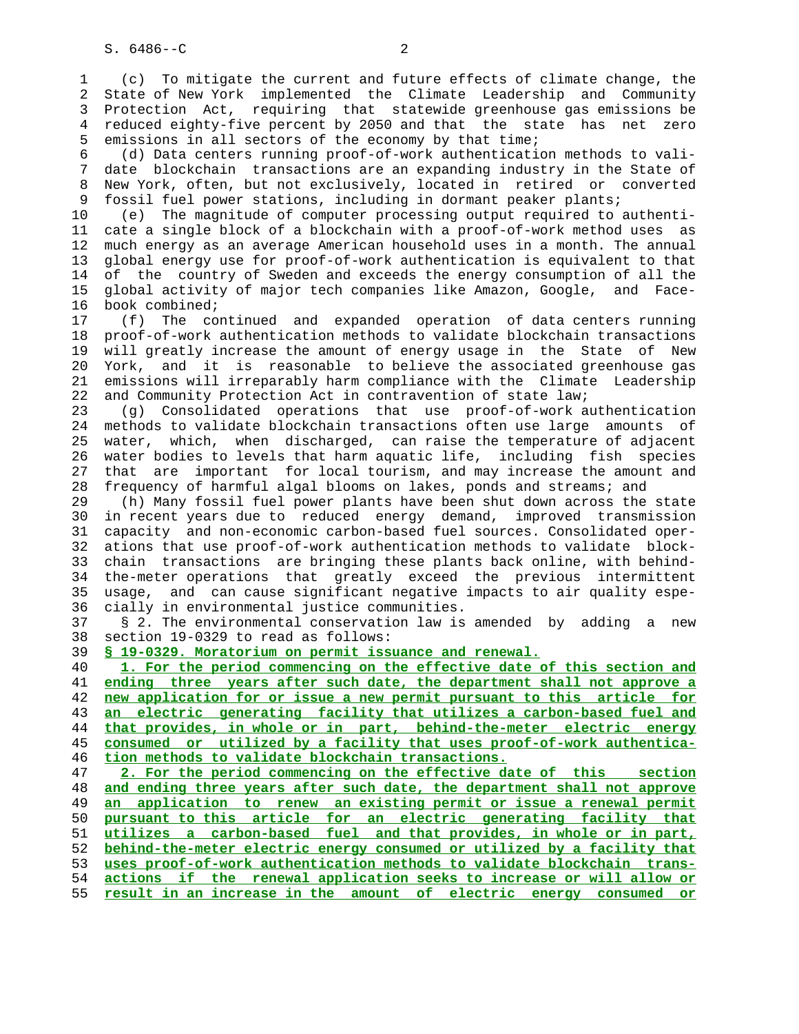1 (c) To mitigate the current and future effects of climate change, the 2 State of New York implemented the Climate Leadership and Community 3 Protection Act, requiring that statewide greenhouse gas emissions be 4 reduced eighty-five percent by 2050 and that the state has net zero 5 emissions in all sectors of the economy by that time;

 6 (d) Data centers running proof-of-work authentication methods to vali- 7 date blockchain transactions are an expanding industry in the State of 8 New York, often, but not exclusively, located in retired or converted 9 fossil fuel power stations, including in dormant peaker plants;

 10 (e) The magnitude of computer processing output required to authenti- 11 cate a single block of a blockchain with a proof-of-work method uses as 12 much energy as an average American household uses in a month. The annual 13 global energy use for proof-of-work authentication is equivalent to that 14 of the country of Sweden and exceeds the energy consumption of all the 15 global activity of major tech companies like Amazon, Google, and Face- 16 book combined;

 17 (f) The continued and expanded operation of data centers running 18 proof-of-work authentication methods to validate blockchain transactions 19 will greatly increase the amount of energy usage in the State of New 20 York, and it is reasonable to believe the associated greenhouse gas 21 emissions will irreparably harm compliance with the Climate Leadership 22 and Community Protection Act in contravention of state law;

 23 (g) Consolidated operations that use proof-of-work authentication 24 methods to validate blockchain transactions often use large amounts of 25 water, which, when discharged, can raise the temperature of adjacent 26 water bodies to levels that harm aquatic life, including fish species 27 that are important for local tourism, and may increase the amount and 28 frequency of harmful algal blooms on lakes, ponds and streams; and

 29 (h) Many fossil fuel power plants have been shut down across the state 30 in recent years due to reduced energy demand, improved transmission 31 capacity and non-economic carbon-based fuel sources. Consolidated oper- 32 ations that use proof-of-work authentication methods to validate block- 33 chain transactions are bringing these plants back online, with behind- 34 the-meter operations that greatly exceed the previous intermittent 35 usage, and can cause significant negative impacts to air quality espe- 36 cially in environmental justice communities.

 37 § 2. The environmental conservation law is amended by adding a new 38 section 19-0329 to read as follows:

39 **§ 19-0329. Moratorium on permit issuance and renewal.**

**1. For the period commencing on the effective date of this section and ending three years after such date, the department shall not approve a new application for or issue a new permit pursuant to this article for an electric generating facility that utilizes a carbon-based fuel and that provides, in whole or in part, behind-the-meter electric energy consumed or utilized by a facility that uses proof-of-work authentica- tion methods to validate blockchain transactions.**

**2. For the period commencing on the effective date of this section and ending three years after such date, the department shall not approve an application to renew an existing permit or issue a renewal permit pursuant to this article for an electric generating facility that utilizes a carbon-based fuel and that provides, in whole or in part, behind-the-meter electric energy consumed or utilized by a facility that uses proof-of-work authentication methods to validate blockchain trans- actions if the renewal application seeks to increase or will allow or result in an increase in the amount of electric energy consumed or**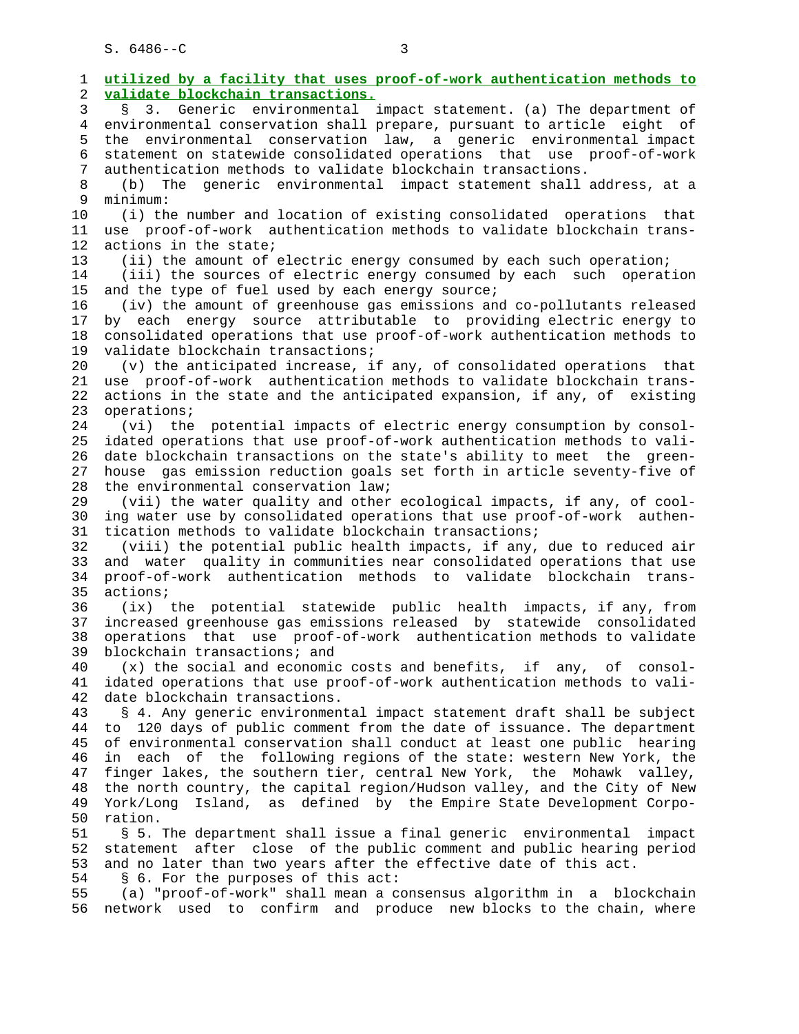$S. 6486 - C$  3

 1 **utilized by a facility that uses proof-of-work authentication methods to** 2 **validate blockchain transactions.** 3 § 3. Generic environmental impact statement. (a) The department of 4 environmental conservation shall prepare, pursuant to article eight of 5 the environmental conservation law, a generic environmental impact 6 statement on statewide consolidated operations that use proof-of-work 7 authentication methods to validate blockchain transactions. 8 (b) The generic environmental impact statement shall address, at a 9 minimum:<br>10 (i) th (i) the number and location of existing consolidated operations that 11 use proof-of-work authentication methods to validate blockchain trans- 12 actions in the state; 13 (ii) the amount of electric energy consumed by each such operation; 14 (iii) the sources of electric energy consumed by each such operation 15 and the type of fuel used by each energy source; 16 (iv) the amount of greenhouse gas emissions and co-pollutants released 17 by each energy source attributable to providing electric energy to 18 consolidated operations that use proof-of-work authentication methods to 19 validate blockchain transactions; 20 (v) the anticipated increase, if any, of consolidated operations that 21 use proof-of-work authentication methods to validate blockchain trans- 22 actions in the state and the anticipated expansion, if any, of existing 23 operations; 24 (vi) the potential impacts of electric energy consumption by consol- 25 idated operations that use proof-of-work authentication methods to vali- 26 date blockchain transactions on the state's ability to meet the green- 27 house gas emission reduction goals set forth in article seventy-five of 28 the environmental conservation law; 29 (vii) the water quality and other ecological impacts, if any, of cool- 30 ing water use by consolidated operations that use proof-of-work authen- 31 tication methods to validate blockchain transactions; 32 (viii) the potential public health impacts, if any, due to reduced air 33 and water quality in communities near consolidated operations that use 34 proof-of-work authentication methods to validate blockchain trans- 35 actions; 36 (ix) the potential statewide public health impacts, if any, from 37 increased greenhouse gas emissions released by statewide consolidated 38 operations that use proof-of-work authentication methods to validate 39 blockchain transactions; and 40 (x) the social and economic costs and benefits, if any, of consol- 41 idated operations that use proof-of-work authentication methods to vali- 42 date blockchain transactions. 43 § 4. Any generic environmental impact statement draft shall be subject 44 to 120 days of public comment from the date of issuance. The department 45 of environmental conservation shall conduct at least one public hearing 46 in each of the following regions of the state: western New York, the 47 finger lakes, the southern tier, central New York, the Mohawk valley, 48 the north country, the capital region/Hudson valley, and the City of New 49 York/Long Island, as defined by the Empire State Development Corpo ration. 51 § 5. The department shall issue a final generic environmental impact 52 statement after close of the public comment and public hearing period 53 and no later than two years after the effective date of this act. 54 § 6. For the purposes of this act: 55 (a) "proof-of-work" shall mean a consensus algorithm in a blockchain 56 network used to confirm and produce new blocks to the chain, where